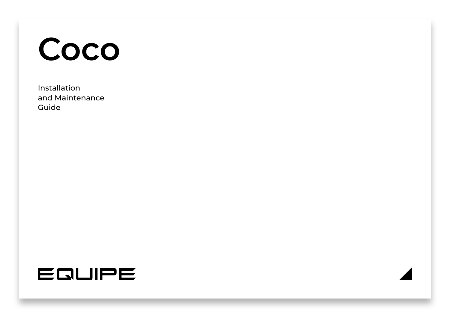# **Coco**

Installation and Maintenance Guide

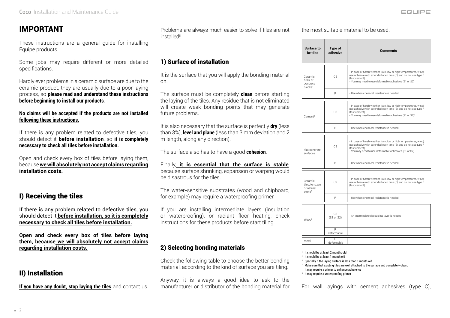# IMPORTANT

These instructions are a general guide for installing Equipe products.

Some jobs may require different or more detailed specifications.

Hardly ever problems in a ceramic surface are due to the ceramic product, they are usually due to a poor laying process, so **please read and understand these instructions before beginning to install our products**.

#### **No claims will be accepted if the products are not installed following these instructions.**

If there is any problem related to defective tiles, you should detect it **before installation**, so **it is completely necessary to check all tiles before installation.**

Open and check every box of tiles before laying them, because **we will absolutely not accept claims regarding installation costs.**

# I) Receiving the tiles

If there is any problem related to defective tiles, you should detect it **before installation, so it is completely necessary to check all tiles before installation.**

**Open and check every box of tiles before laying them, because we will absolutely not accept claims regarding installation costs.**

# II) Installation

**If you have any doubt, stop laying the tiles** and contact us.

Problems are always much easier to solve if tiles are not installed!!

## 1) Surface of installation

It is the surface that you will apply the bonding material on.

The surface must be completely **clean** before starting the laying of the tiles. Any residue that is not eliminated will create weak bonding points that may generate future problems.

It is also necessary that the surface is perfectly **dry** (less than 3%), **level and plane** (less than 3 mm deviation and 2 m length, along any direction).

The surface also has to have a good **cohesion**.

Finally, **it is essential that the surface is stable**, because surface shrinking, expansion or warping would be disastrous for the tiles.

The water-sensitive substrates (wood and chipboard, for example) may require a waterproofing primer.

If you are installing intermediate layers (insulation or waterproofing), or radiant floor heating, check instructions for these products before start tiling.

## 2) Selecting bonding materials

Check the following table to choose the better bonding material, according to the kind of surface you are tiling.

Anyway, it is always a good idea to ask to the manufacturer or distributor of the bonding material for the most suitable material to be used.

| Surface to<br>be tiled                                         | Type of<br>adhesive | <b>Comments</b>                                                                                                                                                                                                             |
|----------------------------------------------------------------|---------------------|-----------------------------------------------------------------------------------------------------------------------------------------------------------------------------------------------------------------------------|
| Ceramic<br>brick or<br>concrete<br>blocks <sup>1</sup>         | C <sub>2</sub>      | - In case of harsh weather (rain, low or high temperatures, wind)<br>use adhesive with extended open time (E), and do not use type F<br>(fast cement)<br>- You may need to use deformable adhesives (S1 or S2)              |
|                                                                | R                   | - Use when chemical resistance is needed                                                                                                                                                                                    |
| Cement <sup>2</sup>                                            | C <sub>2</sub>      | - In case of harsh weather (rain, low or high temperatures, wind)<br>use adhesive with extended open time (E), and do not use type F<br>(fast cement)<br>- You may need to use deformable adhesives (S1 or S2) <sup>3</sup> |
|                                                                | R                   | - Use when chemical resistance is needed.                                                                                                                                                                                   |
| Flat concrete<br>surfaces                                      | C <sub>2</sub>      | - In case of harsh weather (rain, low or high temperatures, wind)<br>use adhesive with extended open time (E), and do not use type F<br>(fast cement)<br>- You may need to use deformable adhesives (S1 or S2)              |
|                                                                | R                   | - Use when chemical resistance is needed.                                                                                                                                                                                   |
| Ceramic<br>tiles, terrazzo<br>or natural<br>stone <sup>4</sup> | C <sub>2</sub>      | - In case of harsh weather (rain, low or high temperatures, wind)<br>use adhesive with extended open time (E), and do not use type F<br>(fast cement)                                                                       |
|                                                                | R                   | - Use when chemical resistance is needed.                                                                                                                                                                                   |
| Wood <sup>5</sup>                                              | C2<br>(S1 or S2)    | - An intermediate decoupling layer is needed                                                                                                                                                                                |
|                                                                | R<br>deformable     |                                                                                                                                                                                                                             |
| Metal                                                          | R<br>deformable     |                                                                                                                                                                                                                             |

<sup>1</sup> It should be at least 2 months old

- <sup>2</sup> It should be at least 1 month old
- <sup>3</sup> Specially if the laying surface is less than 1 month old
- 4 Make sure that existing tiles are well attached to the surface and completely clean. It may require a primer to enhance adherence
- 5 It may require a waterproofing primer

For wall layings with cement adhesives (type C),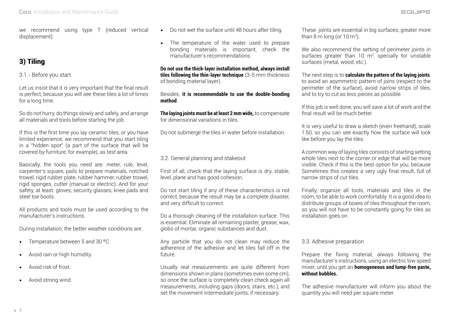we recommend using type T (reduced vertical displacement).

# 3) Tiling

3.1.- Before you start

Let us insist that it is very important that the final result is perfect, because you will see these tiles a lot of times for a long time.

So do not hurry, do things slowly and safely, and arrange all materials and tools before starting the job.

If this is the first time you lay ceramic tiles, or you have limited experience, we recommend that you start tiling in a "hidden spot" (a part of the surface that will be covered by furniture, for example), as test area.

Basically, the tools you need are: meter, rule, level, carpenter's square, pails to prepare materials, notched trowel, rigid rubber plate, rubber hammer, rubber trowel, rigid sponges, cutter (manual or electric). And for your safety, at least: gloves, security glasses, knee pads and steel toe boots.

All products and tools must be used according to the manufacturer's instructions.

During installation, the better weather conditions are:

- Temperature between 5 and 30 ºC.
- Avoid rain or high humidity.
- Avoid risk of frost.
- Avoid strong wind.
- Do not wet the surface until 48 hours after tiling.
- The temperature of the water used to prepare bonding materials is important, check the manufacturer's recommendations.

**Do not use the thick-layer installation method, always install tiles following the thin-layer technique** (3-5 mm thickness of bonding material layer).

Besides, **it is recommendable to use the double-bonding method**.

**The laying joints must be at least 2 mm wide,** to compensate for dimensional variations in tiles.

Do not submerge the tiles in water before installation.

### 3.2. General planning and stakeout

First of all, check that the laying surface is dry, stable, level, plane and has good cohesion.

Do not start tiling if any of these characteristics is not correct, because the result may be a complete disaster, and very difficult to correct.

Do a thorough cleaning of the installation surface. This is essential. Eliminate all remaining plaster, grease, wax, globs of mortar, organic substances and dust.

Any particle that you do not clean may reduce the adherence of the adhesive and let tiles fall off in the future.

Usually real measurements are quite different from dimensions shown in plans (sometimes even some cm), so once the surface is completely clean check again all measurements, including gaps (doors, stairs, etc.), and set the movement intermediate joints, if necessary.

These joints are essential in big surfaces, greater more than 8 m long (or 10 m²).

We also recommend the setting of perimeter joints in surfaces greater than 10  $m^2$ , specially for unstable surfaces (metal, wood, etc.).

The next step is to **calculate the pattern of the laying joints**, to avoid an asymmetric pattern of joins (respect to the perimeter of the surface), avoid narrow strips of tiles, and to try to cut as less pieces as possible.

If this job is well done, you will save a lot of work and the final result will be much better.

It is very useful to draw a sketch (even freehand), scale 1:50, so you can see exactly how the surface will look like before you lay the tiles.

A common way of laying tiles consists of starting setting whole tiles next to the corner or edge that will be more visible. Check if this is the best option for you, because Sometimes this creates a very ugly final result, full of narrow strips of cut tiles.

Finally, organize all tools, materials and tiles in the room, to be able to work comfortably. It is a good idea to distribute groups of boxes of tiles throughout the room, so you will not have to be constantly going for tiles as installation goes on.

#### 3.3. Adhesive preparation

Prepare the fixing material, always following the manufacturer's instructions, using an electric low speed mixer, until you get an **homogeneous and lump-free paste, without bubbles.**

The adhesive manufacturer will inform you about the quantity you will need per square meter.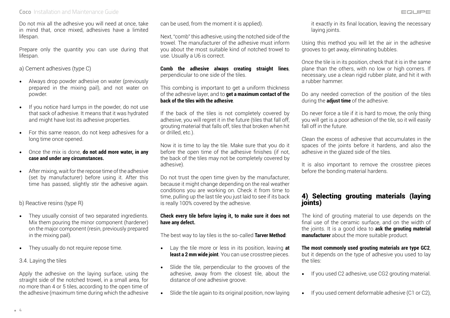#### **Coco** Installation and Maintenance Guide

Do not mix all the adhesive you will need at once, take in mind that, once mixed, adhesives have a limited lifespan.

Prepare only the quantity you can use during that lifespan.

a) Cement adhesives (type C)

- Always drop powder adhesive on water (previously prepared in the mixing pail), and not water on powder.
- If you notice hard lumps in the powder, do not use that sack of adhesive. It means that it was hydrated and might have lost its adhesive properties.
- For this same reason, do not keep adhesives for a long time once opened.
- Once the mix is done, **do not add more water, in any case and under any circumstances.**
- After mixing, wait for the repose time of the adhesive (set by manufacturer) before using it. After this time has passed, slightly stir the adhesive again.

b) Reactive resins (type R)

- They usually consist of two separated ingredients. Mix them pouring the minor component (hardener) on the major component (resin, previously prepared in the mixing pail).
- They usually do not require repose time.

3.4. Laying the tiles

Apply the adhesive on the laying surface, using the straight side of the notched trowel, in a small area, for no more than 4 or 5 tiles, according to the open time of the adhesive (maximum time during which the adhesive can be used, from the moment it is applied).

Next, "comb" this adhesive, using the notched side of the trowel. The manufacturer of the adhesive must inform you about the most suitable kind of notched trowel to use. Usually a U6 is correct.

**Comb the adhesive always creating straight lines**, perpendicular to one side of the tiles.

This combing is important to get a uniform thickness of the adhesive layer, and to **get a maximum contact of the back of the tiles with the adhesive**.

If the back of the tiles is not completely covered by adhesive, you will regret it in the future (tiles that fall off, grouting material that falls off, tiles that broken when hit or drilled, etc.).

Now it is time to lay the tile. Make sure that you do it before the open time of the adhesive finishes (if not, the back of the tiles may not be completely covered by adhesive).

Do not trust the open time given by the manufacturer, because it might change depending on the real weather conditions you are working on. Check it from time to time, pulling up the last tile you just laid to see if its back is really 100% covered by the adhesive.

#### **Check every tile before laying it, to make sure it does not have any defect.**

The best way to lay tiles is the so-called **Tarver Method**:

- Lay the tile more or less in its position, leaving **at least a 2 mm wide joint**. You can use crosstree pieces.
- Slide the tile, perpendicular to the grooves of the adhesive, away from the closest tile, about the distance of one adhesive groove.
- Slide the tile again to its original position, now laying

it exactly in its final location, leaving the necessary laying joints.

Using this method you will let the air in the adhesive grooves to get away, eliminating bubbles.

Once the tile is in its position, check that it is in the same plane than the others, with no low or high corners. If necessary, use a clean rigid rubber plate, and hit it with a rubber hammer.

Do any needed correction of the position of the tiles during the **adjust time** of the adhesive.

Do never force a tile if it is hard to move, the only thing you will get is a poor adhesion of the tile, so it will easily fall off in the future.

Clean the excess of adhesive that accumulates in the spaces of the joints before it hardens, and also the adhesive in the glazed side of the tiles.

It is also important to remove the crosstree pieces before the bonding material hardens.

## 4) Selecting grouting materials (laying joints)

The kind of grouting material to use depends on the final use of the ceramic surface, and on the width of the joints. It is a good idea to **ask the grouting material manufacturer** about the more suitable product.

**The most commonly used grouting materials are type GC2**, but it depends on the type of adhesive you used to lay the tiles:

- If you used C2 adhesive, use CG2 grouting material.
- If you used cement deformable adhesive (C1 or C2),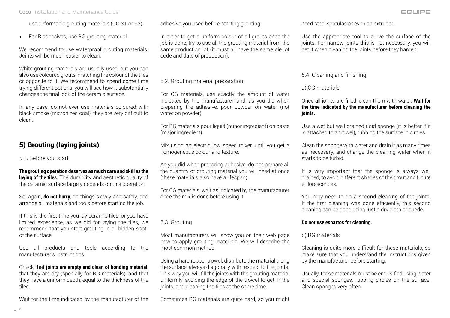use deformable grouting materials (CG S1 or S2).

• For R adhesives, use RG grouting material.

We recommend to use waterproof grouting materials. Joints will be much easier to clean.

White grouting materials are usually used, but you can also use coloured grouts, matching the colour of the tiles or opposite to it. We recommend to spend some time trying different options, you will see how it substantially changes the final look of the ceramic surface.

In any case, do not ever use materials coloured with black smoke (micronized coal), they are very difficult to clean.

# 5) Grouting (laying joints)

5.1. Before you start

**The grouting operation deserves as much care and skill as the laying of the tiles**. The durability and aesthetic quality of the ceramic surface largely depends on this operation.

So, again, **do not hurry**, do things slowly and safely, and arrange all materials and tools before starting the job.

If this is the first time you lay ceramic tiles, or you have limited experience, as we did for laying the tiles, we recommend that you start grouting in a "hidden spot" of the surface.

Use all products and tools according to the manufacturer's instructions.

Check that **joints are empty and clean of bonding material**, that they are dry (specially for RG materials), and that they have a uniform depth, equal to the thickness of the tiles.

Wait for the time indicated by the manufacturer of the

adhesive you used before starting grouting.

In order to get a uniform colour of all grouts once the job is done, try to use all the grouting material from the same production lot (it must all have the same die lot code and date of production).

## 5.2. Grouting material preparation

For CG materials, use exactly the amount of water indicated by the manufacturer, and, as you did when preparing the adhesive, pour powder on water (not water on powder).

For RG materials pour liquid (minor ingredient) on paste (major ingredient).

Mix using an electric low speed mixer, until you get a homogeneous colour and texture.

As you did when preparing adhesive, do not prepare all the quantity of grouting material you will need at once (these materials also have a lifespan).

For CG materials, wait as indicated by the manufacturer once the mix is done before using it.

#### 5.3. Grouting

Most manufacturers will show you on their web page how to apply grouting materials. We will describe the most common method.

Using a hard rubber trowel, distribute the material along the surface, always diagonally with respect to the joints. This way you will fill the joints with the grouting material uniformly, avoiding the edge of the trowel to get in the joints, and cleaning the tiles at the same time.

Sometimes RG materials are quite hard, so you might

need steel spatulas or even an extruder.

Use the appropriate tool to curve the surface of the joints. For narrow joints this is not necessary, you will get it when cleaning the joints before they harden.

5.4. Cleaning and finishing

a) CG materials

Once all joints are filled, clean them with water. **Wait for the time indicated by the manufacturer before cleaning the joints.**

Use a wet but well drained rigid sponge (it is better if it is attached to a trowel), rubbing the surface in circles.

Clean the sponge with water and drain it as many times as necessary, and change the cleaning water when it starts to be turbid.

It is very important that the sponge is always well drained, to avoid different shades of the grout and future efflorescences.

You may need to do a second cleaning of the joints. If the first cleaning was done efficiently, this second cleaning can be done using just a dry cloth or suede.

#### **Do not use espartos for cleaning.**

#### b) RG materials

Cleaning is quite more difficult for these materials, so make sure that you understand the instructions given by the manufacturer before starting.

Usually, these materials must be emulsified using water and special sponges, rubbing circles on the surface. Clean sponges very often.